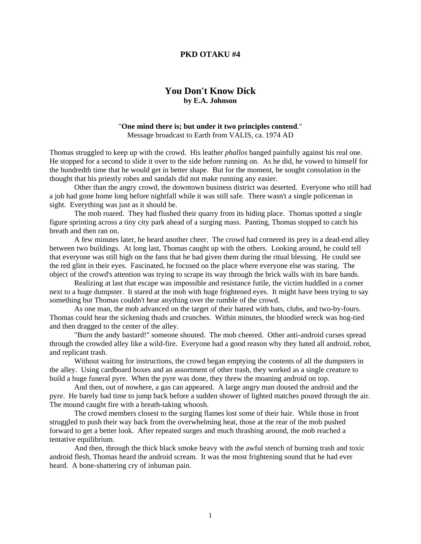## **PKD OTAKU #4**

# **You Don't Know Dick by E.A. Johnson**

#### "**One mind there is; but under it two principles contend**." Message broadcast to Earth from VALIS, ca. 1974 AD

Thomas struggled to keep up with the crowd. His leather *phallos* banged painfully against his real one. He stopped for a second to slide it over to the side before running on. As he did, he vowed to himself for the hundredth time that he would get in better shape. But for the moment, he sought consolation in the thought that his priestly robes and sandals did not make running any easier.

 Other than the angry crowd, the downtown business district was deserted. Everyone who still had a job had gone home long before nightfall while it was still safe. There wasn't a single policeman in sight. Everything was just as it should be.

 The mob roared. They had flushed their quarry from its hiding place. Thomas spotted a single figure sprinting across a tiny city park ahead of a surging mass. Panting, Thomas stopped to catch his breath and then ran on.

 A few minutes later, he heard another cheer. The crowd had cornered its prey in a dead-end alley between two buildings. At long last, Thomas caught up with the others. Looking around, he could tell that everyone was still high on the fans that he had given them during the ritual blessing. He could see the red glint in their eyes. Fascinated, he focused on the place where everyone else was staring. The object of the crowd's attention was trying to scrape its way through the brick walls with its bare hands.

 Realizing at last that escape was impossible and resistance futile, the victim huddled in a corner next to a huge dumpster. It stared at the mob with huge frightened eyes. It might have been trying to say something but Thomas couldn't hear anything over the rumble of the crowd.

 As one man, the mob advanced on the target of their hatred with bats, clubs, and two-by-fours. Thomas could hear the sickening thuds and crunches. Within minutes, the bloodied wreck was hog-tied and then dragged to the center of the alley.

 "Burn the andy bastard!" someone shouted. The mob cheered. Other anti-android curses spread through the crowded alley like a wild-fire. Everyone had a good reason why they hated all android, robot, and replicant trash.

 Without waiting for instructions, the crowd began emptying the contents of all the dumpsters in the alley. Using cardboard boxes and an assortment of other trash, they worked as a single creature to build a huge funeral pyre. When the pyre was done, they threw the moaning android on top.

 And then, out of nowhere, a gas can appeared. A large angry man doused the android and the pyre. He barely had time to jump back before a sudden shower of lighted matches poured through the air. The mound caught fire with a breath-taking whoosh.

 The crowd members closest to the surging flames lost some of their hair. While those in front struggled to push their way back from the overwhelming heat, those at the rear of the mob pushed forward to get a better look. After repeated surges and much thrashing around, the mob reached a tentative equilibrium.

 And then, through the thick black smoke heavy with the awful stench of burning trash and toxic android flesh, Thomas heard the android scream. It was the most frightening sound that he had ever heard. A bone-shattering cry of inhuman pain.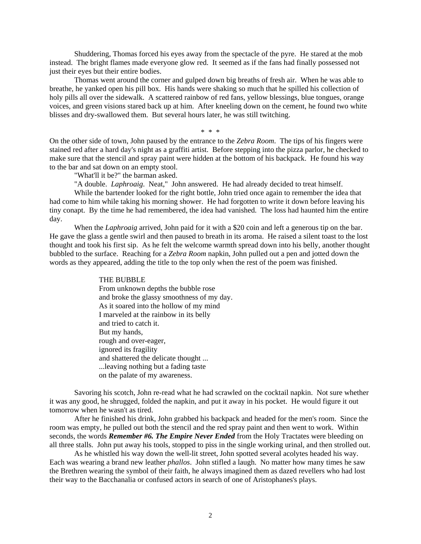Shuddering, Thomas forced his eyes away from the spectacle of the pyre. He stared at the mob instead. The bright flames made everyone glow red. It seemed as if the fans had finally possessed not just their eyes but their entire bodies.

 Thomas went around the corner and gulped down big breaths of fresh air. When he was able to breathe, he yanked open his pill box. His hands were shaking so much that he spilled his collection of holy pills all over the sidewalk. A scattered rainbow of red fans, yellow blessings, blue tongues, orange voices, and green visions stared back up at him. After kneeling down on the cement, he found two white blisses and dry-swallowed them. But several hours later, he was still twitching.

\* \* \*

On the other side of town, John paused by the entrance to the *Zebra Room*. The tips of his fingers were stained red after a hard day's night as a graffiti artist. Before stepping into the pizza parlor, he checked to make sure that the stencil and spray paint were hidden at the bottom of his backpack. He found his way to the bar and sat down on an empty stool.

"What'll it be?" the barman asked.

"A double. *Laphroaig*. Neat," John answered. He had already decided to treat himself.

 While the bartender looked for the right bottle, John tried once again to remember the idea that had come to him while taking his morning shower. He had forgotten to write it down before leaving his tiny conapt. By the time he had remembered, the idea had vanished. The loss had haunted him the entire day.

When the *Laphroaig* arrived, John paid for it with a \$20 coin and left a generous tip on the bar. He gave the glass a gentle swirl and then paused to breath in its aroma. He raised a silent toast to the lost thought and took his first sip. As he felt the welcome warmth spread down into his belly, another thought bubbled to the surface. Reaching for a *Zebra Room* napkin, John pulled out a pen and jotted down the words as they appeared, adding the title to the top only when the rest of the poem was finished.

## THE BUBBLE

From unknown depths the bubble rose and broke the glassy smoothness of my day. As it soared into the hollow of my mind I marveled at the rainbow in its belly and tried to catch it. But my hands, rough and over-eager, ignored its fragility and shattered the delicate thought ... ...leaving nothing but a fading taste on the palate of my awareness.

 Savoring his scotch, John re-read what he had scrawled on the cocktail napkin. Not sure whether it was any good, he shrugged, folded the napkin, and put it away in his pocket. He would figure it out tomorrow when he wasn't as tired.

 After he finished his drink, John grabbed his backpack and headed for the men's room. Since the room was empty, he pulled out both the stencil and the red spray paint and then went to work. Within seconds, the words *Remember #6. The Empire Never Ended* from the Holy Tractates were bleeding on all three stalls. John put away his tools, stopped to piss in the single working urinal, and then strolled out.

 As he whistled his way down the well-lit street, John spotted several acolytes headed his way. Each was wearing a brand new leather *phallos*. John stifled a laugh. No matter how many times he saw the Brethren wearing the symbol of their faith, he always imagined them as dazed revellers who had lost their way to the Bacchanalia or confused actors in search of one of Aristophanes's plays.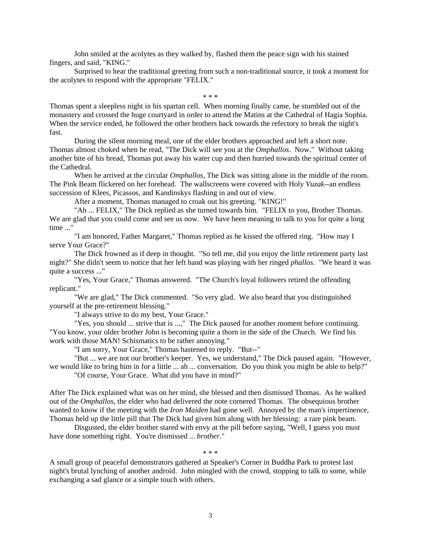John smiled at the acolytes as they walked by, flashed them the peace sign with his stained fingers, and said, "KING."

 Surprised to hear the traditional greeting from such a non-traditional source, it took a moment for the acolytes to respond with the appropriate "FELIX."

\* \* \*

Thomas spent a sleepless night in his spartan cell. When morning finally came, he stumbled out of the monastery and crossed the huge courtyard in order to attend the Matins at the Cathedral of Hagia Sophia. When the service ended, he followed the other brothers back towards the refectory to break the night's fast.

 During the silent morning meal, one of the elder brothers approached and left a short note. Thomas almost choked when he read, "The Dick will see you at the *Omphallos*. Now." Without taking another bite of his bread, Thomas put away his water cup and then hurried towards the spiritual center of the Cathedral.

 When he arrived at the circular *Omphallos*, The Dick was sitting alone in the middle of the room. The Pink Beam flickered on her forehead. The wallscreens were covered with Holy *Vuzak*--an endless succession of Klees, Picassos, and Kandinskys flashing in and out of view.

After a moment, Thomas managed to croak out his greeting. "KING!"

 "Ah ... FELIX," The Dick replied as she turned towards him. "FELIX to you, Brother Thomas. We are glad that you could come and see us now. We have been meaning to talk to you for quite a long time ..."

 "I am honored, Father Margaret," Thomas replied as he kissed the offered ring. "How may I serve Your Grace?"

 The Dick frowned as if deep in thought. "So tell me, did you enjoy the little retirement party last night?" She didn't seem to notice that her left hand was playing with her ringed *phallos*. "We heard it was quite a success ..."

 "Yes, Your Grace," Thomas answered. "The Church's loyal followers retired the offending replicant."

 "We are glad," The Dick commented. "So very glad. We also heard that you distinguished yourself at the pre-retirement blessing."

"I always strive to do my best, Your Grace."

 "Yes, you should ... strive that is ...," The Dick paused for another moment before continuing. "You know, your older brother John is becoming quite a thorn in the side of the Church. We find his work with those MAN! Schismatics to be rather annoying."

"I am sorry, Your Grace," Thomas hastened to reply. "But--"

 "But ... we are not our brother's keeper. Yes, we understand," The Dick paused again. "However, we would like to bring him in for a little ... ah ... conversation. Do you think you might be able to help?"

"Of course, Your Grace. What did you have in mind?"

After The Dick explained what was on her mind, she blessed and then dismissed Thomas. As he walked out of the *Omphallos*, the elder who had delivered the note cornered Thomas. The obsequious brother wanted to know if the meeting with the *Iron Maiden* had gone well. Annoyed by the man's impertinence, Thomas held up the little pill that The Dick had given him along with her blessing: a rare pink beam.

 Disgusted, the elder brother stared with envy at the pill before saying, "Well, I guess you must have done something right. You're dismissed ... *brother*."

\* \* \*

A small group of peaceful demonstrators gathered at Speaker's Corner in Buddha Park to protest last night's brutal lynching of another android. John mingled with the crowd, stopping to talk to some, while exchanging a sad glance or a simple touch with others.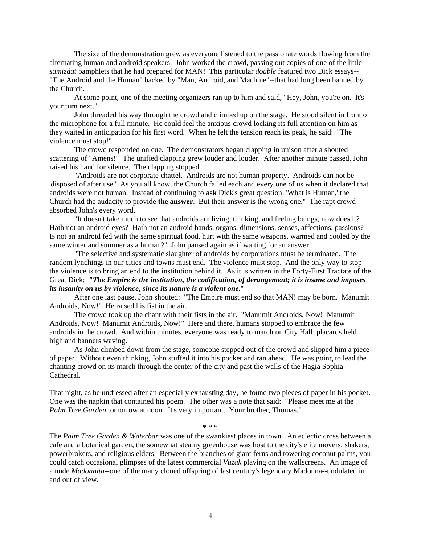The size of the demonstration grew as everyone listened to the passionate words flowing from the alternating human and android speakers. John worked the crowd, passing out copies of one of the little *samizdat* pamphlets that he had prepared for MAN! This particular *double* featured two Dick essays-- "The Android and the Human" backed by "Man, Android, and Machine"--that had long been banned by the Church.

 At some point, one of the meeting organizers ran up to him and said, "Hey, John, you're on. It's your turn next."

 John threaded his way through the crowd and climbed up on the stage. He stood silent in front of the microphone for a full minute. He could feel the anxious crowd locking its full attention on him as they waited in anticipation for his first word. When he felt the tension reach its peak, he said: "The violence must stop!"

 The crowd responded on cue. The demonstrators began clapping in unison after a shouted scattering of "Amens!" The unified clapping grew louder and louder. After another minute passed, John raised his hand for silence. The clapping stopped.

 "Androids are not corporate chattel. Androids are not human property. Androids can not be 'disposed of after use.' As you all know, the Church failed each and every one of us when it declared that androids were not human. Instead of continuing to **ask** Dick's great question: 'What is Human,' the Church had the audacity to provide **the answer**. But their answer is the wrong one." The rapt crowd absorbed John's every word.

 "It doesn't take much to see that androids are living, thinking, and feeling beings, now does it? Hath not an android eyes? Hath not an android hands, organs, dimensions, senses, affections, passions? Is not an android fed with the same spiritual food, hurt with the same weapons, warmed and cooled by the same winter and summer as a human?" John paused again as if waiting for an answer.

 "The selective and systematic slaughter of androids by corporations must be terminated. The random lynchings in our cities and towns must end. The violence must stop. And the only way to stop the violence is to bring an end to the institution behind it. As it is written in the Forty-First Tractate of the Great Dick: *"The Empire is the institution, the codification, of derangement; it is insane and imposes its insanity on us by violence, since its nature is a violent one.*"

 After one last pause, John shouted: "The Empire must end so that MAN! may be born. Manumit Androids, Now!" He raised his fist in the air.

 The crowd took up the chant with their fists in the air. "Manumit Androids, Now! Manumit Androids, Now! Manumit Androids, Now!" Here and there, humans stopped to embrace the few androids in the crowd. And within minutes, everyone was ready to march on City Hall, placards held high and banners waving.

 As John climbed down from the stage, someone stepped out of the crowd and slipped him a piece of paper. Without even thinking, John stuffed it into his pocket and ran ahead. He was going to lead the chanting crowd on its march through the center of the city and past the walls of the Hagia Sophia Cathedral.

That night, as he undressed after an especially exhausting day, he found two pieces of paper in his pocket. One was the napkin that contained his poem. The other was a note that said: "Please meet me at the *Palm Tree Garden* tomorrow at noon. It's very important. Your brother, Thomas."

\* \* \*

The *Palm Tree Garden & Waterbar* was one of the swankiest places in town. An eclectic cross between a cafe and a botanical garden, the somewhat steamy greenhouse was host to the city's elite movers, shakers, powerbrokers, and religious elders. Between the branches of giant ferns and towering coconut palms, you could catch occasional glimpses of the latest commercial *Vuzak* playing on the wallscreens. An image of a nude *Madonnita*--one of the many cloned offspring of last century's legendary Madonna--undulated in and out of view.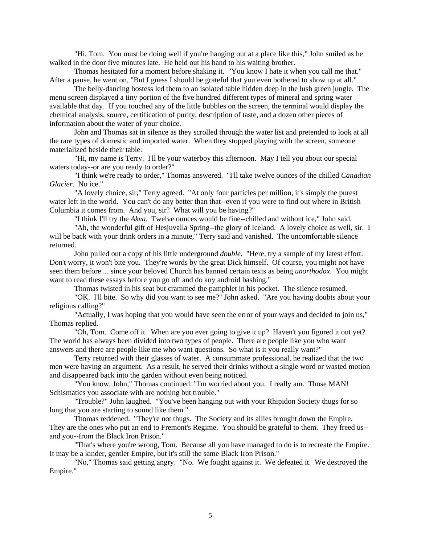"Hi, Tom. You must be doing well if you're hanging out at a place like this," John smiled as he walked in the door five minutes late. He held out his hand to his waiting brother.

 Thomas hesitated for a moment before shaking it. "You know I hate it when you call me that." After a pause, he went on, "But I guess I should be grateful that you even bothered to show up at all."

 The belly-dancing hostess led them to an isolated table hidden deep in the lush green jungle. The menu screen displayed a tiny portion of the five hundred different types of mineral and spring water available that day. If you touched any of the little bubbles on the screen, the terminal would display the chemical analysis, source, certification of purity, description of taste, and a dozen other pieces of information about the water of your choice.

 John and Thomas sat in silence as they scrolled through the water list and pretended to look at all the rare types of domestic and imported water. When they stopped playing with the screen, someone materialized beside their table.

 "Hi, my name is Terry. I'll be your waterboy this afternoon. May I tell you about our special waters today--or are you ready to order?"

 "I think we're ready to order," Thomas answered. "I'll take twelve ounces of the chilled *Canadian Glacier*. No ice."

 "A lovely choice, sir," Terry agreed. "At only four particles per million, it's simply the purest water left in the world. You can't do any better than that--even if you were to find out where in British Columbia it comes from. And you, sir? What will you be having?"

"I think I'll try the *Akva*. Twelve ounces would be fine--chilled and without ice," John said.

 "Ah, the wonderful gift of Hesjuvalla Spring--the glory of Iceland. A lovely choice as well, sir. I will be back with your drink orders in a minute," Terry said and vanished. The uncomfortable silence returned.

 John pulled out a copy of his little underground *double*. "Here, try a sample of my latest effort. Don't worry, it won't bite you. They're words by the great Dick himself. Of course, you might not have seen them before ... since your beloved Church has banned certain texts as being *unorthodox*. You might want to read these essays before you go off and do any android bashing."

Thomas twisted in his seat but crammed the pamphlet in his pocket. The silence resumed.

 "OK. I'll bite. So why did you want to see me?" John asked. "Are you having doubts about your religious calling?"

 "Actually, I was hoping that you would have seen the error of your ways and decided to join us," Thomas replied.

 "Oh, Tom. Come off it. When are you ever going to give it up? Haven't you figured it out yet? The world has always been divided into two types of people. There are people like you who want answers and there are people like me who want questions. So what is it you really want?"

 Terry returned with their glasses of water. A consummate professional, he realized that the two men were having an argument. As a result, he served their drinks without a single word or wasted motion and disappeared back into the garden without even being noticed.

 "You know, John," Thomas continued. "I'm worried about you. I really am. Those MAN! Schismatics you associate with are nothing but trouble."

 "Trouble?" John laughed. "You've been hanging out with your Rhipidon Society thugs for so long that you are starting to sound like them."

 Thomas reddened. "They're not thugs. The Society and its allies brought down the Empire. They are the ones who put an end to Fremont's Regime. You should be grateful to them. They freed us- and you--from the Black Iron Prison."

 "That's where you're wrong, Tom. Because all you have managed to do is to recreate the Empire. It may be a kinder, gentler Empire, but it's still the same Black Iron Prison."

 "No," Thomas said getting angry. "No. We fought against it. We defeated it. We destroyed the Empire."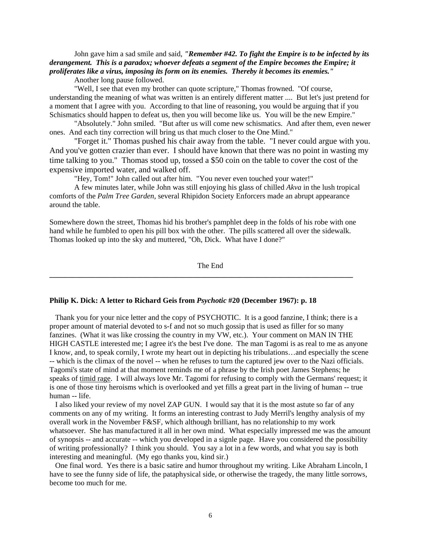# John gave him a sad smile and said, *"Remember #42. To fight the Empire is to be infected by its derangement. This is a paradox; whoever defeats a segment of the Empire becomes the Empire; it proliferates like a virus, imposing its form on its enemies. Thereby it becomes its enemies."*

Another long pause followed.

 "Well, I see that even my brother can quote scripture," Thomas frowned. "Of course, understanding the meaning of what was written is an entirely different matter .... But let's just pretend for a moment that I agree with you. According to that line of reasoning, you would be arguing that if you Schismatics should happen to defeat us, then you will become like us. You will be the new Empire."

 "Absolutely." John smiled. "But after us will come new schismatics. And after them, even newer ones. And each tiny correction will bring us that much closer to the One Mind."

 "Forget it." Thomas pushed his chair away from the table. "I never could argue with you. And you've gotten crazier than ever. I should have known that there was no point in wasting my time talking to you." Thomas stood up, tossed a \$50 coin on the table to cover the cost of the expensive imported water, and walked off.

"Hey, Tom!" John called out after him. "You never even touched your water!"

 A few minutes later, while John was still enjoying his glass of chilled *Akva* in the lush tropical comforts of the *Palm Tree Garden*, several Rhipidon Society Enforcers made an abrupt appearance around the table.

Somewhere down the street, Thomas hid his brother's pamphlet deep in the folds of his robe with one hand while he fumbled to open his pill box with the other. The pills scattered all over the sidewalk. Thomas looked up into the sky and muttered, "Oh, Dick. What have I done?"

**\_\_\_\_\_\_\_\_\_\_\_\_\_\_\_\_\_\_\_\_\_\_\_\_\_\_\_\_\_\_\_\_\_\_\_\_\_\_\_\_\_\_\_\_\_\_\_\_\_\_\_\_\_\_\_\_\_\_\_\_\_\_\_\_\_\_\_\_\_\_\_\_\_\_\_\_\_\_\_\_** 

The End

## **Philip K. Dick: A letter to Richard Geis from** *Psychotic* **#20 (December 1967): p. 18**

 Thank you for your nice letter and the copy of PSYCHOTIC. It is a good fanzine, I think; there is a proper amount of material devoted to s-f and not so much gossip that is used as filler for so many fanzines. (What it was like crossing the country in my VW, etc.). Your comment on MAN IN THE HIGH CASTLE interested me; I agree it's the best I've done. The man Tagomi is as real to me as anyone I know, and, to speak cornily, I wrote my heart out in depicting his tribulations…and especially the scene -- which is the climax of the novel -- when he refuses to turn the captured jew over to the Nazi officials. Tagomi's state of mind at that moment reminds me of a phrase by the Irish poet James Stephens; he speaks of timid rage. I will always love Mr. Tagomi for refusing to comply with the Germans' request; it is one of those tiny heroisms which is overlooked and yet fills a great part in the living of human -- true human -- life.

 I also liked your review of my novel ZAP GUN. I would say that it is the most astute so far of any comments on any of my writing. It forms an interesting contrast to Judy Merril's lengthy analysis of my overall work in the November F&SF, which although brilliant, has no relationship to my work whatsoever. She has manufactured it all in her own mind. What especially impressed me was the amount of synopsis -- and accurate -- which you developed in a signle page. Have you considered the possibility of writing professionally? I think you should. You say a lot in a few words, and what you say is both interesting and meaningful. (My ego thanks you, kind sir.)

 One final word. Yes there is a basic satire and humor throughout my writing. Like Abraham Lincoln, I have to see the funny side of life, the pataphysical side, or otherwise the tragedy, the many little sorrows, become too much for me.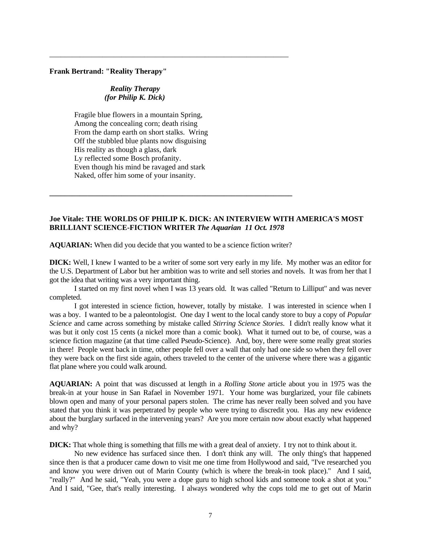#### **Frank Bertrand: "Reality Therapy"**

### *Reality Therapy (for Philip K. Dick)*

 Fragile blue flowers in a mountain Spring, Among the concealing corn; death rising From the damp earth on short stalks. Wring Off the stubbled blue plants now disguising His reality as though a glass, dark Ly reflected some Bosch profanity. Even though his mind be ravaged and stark Naked, offer him some of your insanity.

### **Joe Vitale: THE WORLDS OF PHILIP K. DICK: AN INTERVIEW WITH AMERICA'S MOST BRILLIANT SCIENCE-FICTION WRITER** *The Aquarian 11 Oct. 1978*

**AQUARIAN:** When did you decide that you wanted to be a science fiction writer?

**\_\_\_\_\_\_\_\_\_\_\_\_\_\_\_\_\_\_\_\_\_\_\_\_\_\_\_\_\_\_\_\_\_\_\_\_\_\_\_\_\_\_\_\_\_\_\_\_\_\_\_\_\_\_\_\_\_\_\_\_\_\_\_\_** 

\_\_\_\_\_\_\_\_\_\_\_\_\_\_\_\_\_\_\_\_\_\_\_\_\_\_\_\_\_\_\_\_\_\_\_\_\_\_\_\_\_\_\_\_\_\_\_\_\_\_\_\_\_\_\_\_\_\_\_\_\_\_\_

**DICK:** Well, I knew I wanted to be a writer of some sort very early in my life. My mother was an editor for the U.S. Department of Labor but her ambition was to write and sell stories and novels. It was from her that I got the idea that writing was a very important thing.

 I started on my first novel when I was 13 years old. It was called "Return to Lilliput" and was never completed.

 I got interested in science fiction, however, totally by mistake. I was interested in science when I was a boy. I wanted to be a paleontologist. One day I went to the local candy store to buy a copy of *Popular Science* and came across something by mistake called *Stirring Science Stories*. I didn't really know what it was but it only cost 15 cents (a nickel more than a comic book). What it turned out to be, of course, was a science fiction magazine (at that time called Pseudo-Science). And, boy, there were some really great stories in there! People went back in time, other people fell over a wall that only had one side so when they fell over they were back on the first side again, others traveled to the center of the universe where there was a gigantic flat plane where you could walk around.

**AQUARIAN:** A point that was discussed at length in a *Rolling Stone* article about you in 1975 was the break-in at your house in San Rafael in November 1971. Your home was burglarized, your file cabinets blown open and many of your personal papers stolen. The crime has never really been solved and you have stated that you think it was perpetrated by people who were trying to discredit you. Has any new evidence about the burglary surfaced in the intervening years? Are you more certain now about exactly what happened and why?

**DICK:** That whole thing is something that fills me with a great deal of anxiety. I try not to think about it.

 No new evidence has surfaced since then. I don't think any will. The only thing's that happened since then is that a producer came down to visit me one time from Hollywood and said, "I've researched you and know you were driven out of Marin County (which is where the break-in took place)." And I said, "really?" And he said, "Yeah, you were a dope guru to high school kids and someone took a shot at you." And I said, "Gee, that's really interesting. I always wondered why the cops told me to get out of Marin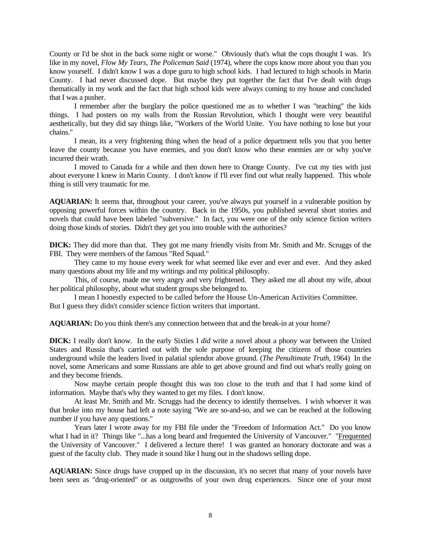County or I'd be shot in the back some night or worse." Obviously that's what the cops thought I was. It's like in my novel, *Flow My Tears, The Policeman Said* (1974), where the cops know more about you than you know yourself. I didn't know I was a dope guru to high school kids. I had lectured to high schools in Marin County. I had never discussed dope. But maybe they put together the fact that I've dealt with drugs thematically in my work and the fact that high school kids were always coming to my house and concluded that I was a pusher.

 I remember after the burglary the police questioned me as to whether I was "teaching" the kids things. I had posters on my walls from the Russian Revolution, which I thought were very beautiful aesthetically, but they did say things like, "Workers of the World Unite. You have nothing to lose but your chains."

 I mean, its a very frightening thing when the head of a police department tells you that you better leave the county because you have enemies, and you don't know who these enemies are or why you've incurred their wrath.

 I moved to Canada for a while and then down here to Orange County. I've cut my ties with just about everyone I knew in Marin County. I don't know if I'll ever find out what really happened. This whole thing is still very traumatic for me.

**AQUARIAN:** It seems that, throughout your career, you've always put yourself in a vulnerable position by opposing powerful forces within the country. Back in the 1950s, you published several short stories and novels that could have been labeled "subversive." In fact, you were one of the only science fiction writers doing those kinds of stories. Didn't they get you into trouble with the authorities?

**DICK:** They did more than that. They got me many friendly visits from Mr. Smith and Mr. Scruggs of the FBI. They were members of the famous "Red Squad."

 They came to my house every week for what seemed like ever and ever and ever. And they asked many questions about my life and my writings and my political philosophy.

 This, of course, made me very angry and very frightened. They asked me all about my wife, about her political philosophy, about what student groups she belonged to.

 I mean I honestly expected to be called before the House Un-American Activities Committee. But I guess they didn't consider science fiction writers that important.

**AQUARIAN:** Do you think there's any connection between that and the break-in at your home?

**DICK:** I really don't know. In the early Sixties I *did* write a novel about a phony war between the United States and Russia that's carried out with the sole purpose of keeping the citizens of those countries underground while the leaders lived in palatial splendor above ground. (*The Penultimate Truth*, 1964) In the novel, some Americans and some Russians are able to get above ground and find out what's really going on and they become friends.

 Now maybe certain people thought this was too close to the truth and that I had some kind of information. Maybe that's why they wanted to get my files. I don't know.

 At least Mr. Smith and Mr. Scruggs had the decency to identify themselves. I wish whoever it was that broke into my house had left a note saying "We are so-and-so, and we can be reached at the following number if you have any questions."

 Years later I wrote away for my FBI file under the "Freedom of Information Act." Do you know what I had in it? Things like "...has a long beard and frequented the University of Vancouver." "Frequented the University of Vancouver." I delivered a lecture there! I was granted an honorary doctorate and was a guest of the faculty club. They made it sound like I hung out in the shadows selling dope.

**AQUARIAN:** Since drugs have cropped up in the discussion, it's no secret that many of your novels have been seen as "drug-oriented" or as outgrowths of your own drug experiences. Since one of your most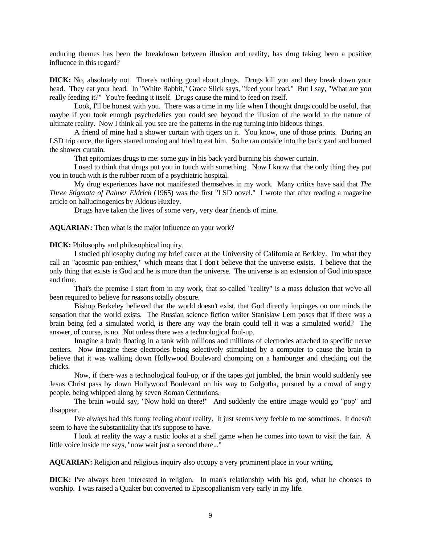enduring themes has been the breakdown between illusion and reality, has drug taking been a positive influence in this regard?

**DICK:** No, absolutely not. There's nothing good about drugs. Drugs kill you and they break down your head. They eat your head. In "White Rabbit," Grace Slick says, "feed your head." But I say, "What are you really feeding it?" You're feeding it itself. Drugs cause the mind to feed on itself.

 Look, I'll be honest with you. There was a time in my life when I thought drugs could be useful, that maybe if you took enough psychedelics you could see beyond the illusion of the world to the nature of ultimate reality. Now I think all you see are the patterns in the rug turning into hideous things.

 A friend of mine had a shower curtain with tigers on it. You know, one of those prints. During an LSD trip once, the tigers started moving and tried to eat him. So he ran outside into the back yard and burned the shower curtain.

That epitomizes drugs to me: some guy in his back yard burning his shower curtain.

 I used to think that drugs put you in touch with something. Now I know that the only thing they put you in touch with is the rubber room of a psychiatric hospital.

 My drug experiences have not manifested themselves in my work. Many critics have said that *The Three Stigmata of Palmer Eldrich* (1965) was the first "LSD novel." I wrote that after reading a magazine article on hallucinogenics by Aldous Huxley.

Drugs have taken the lives of some very, very dear friends of mine.

**AQUARIAN:** Then what is the major influence on your work?

**DICK:** Philosophy and philosophical inquiry.

 I studied philosophy during my brief career at the University of California at Berkley. I'm what they call an "acosmic pan-enthiest," which means that I don't believe that the universe exists. I believe that the only thing that exists is God and he is more than the universe. The universe is an extension of God into space and time.

 That's the premise I start from in my work, that so-called "reality" is a mass delusion that we've all been required to believe for reasons totally obscure.

 Bishop Berkeley believed that the world doesn't exist, that God directly impinges on our minds the sensation that the world exists. The Russian science fiction writer Stanislaw Lem poses that if there was a brain being fed a simulated world, is there any way the brain could tell it was a simulated world? The answer, of course, is no. Not unless there was a technological foul-up.

 Imagine a brain floating in a tank with millions and millions of electrodes attached to specific nerve centers. Now imagine these electrodes being selectively stimulated by a computer to cause the brain to believe that it was walking down Hollywood Boulevard chomping on a hamburger and checking out the chicks.

 Now, if there was a technological foul-up, or if the tapes got jumbled, the brain would suddenly see Jesus Christ pass by down Hollywood Boulevard on his way to Golgotha, pursued by a crowd of angry people, being whipped along by seven Roman Centurions.

 The brain would say, "Now hold on there!" And suddenly the entire image would go "pop" and disappear.

 I've always had this funny feeling about reality. It just seems very feeble to me sometimes. It doesn't seem to have the substantiality that it's suppose to have.

 I look at reality the way a rustic looks at a shell game when he comes into town to visit the fair. A little voice inside me says, "now wait just a second there..."

**AQUARIAN:** Religion and religious inquiry also occupy a very prominent place in your writing.

**DICK:** I've always been interested in religion. In man's relationship with his god, what he chooses to worship. I was raised a Quaker but converted to Episcopalianism very early in my life.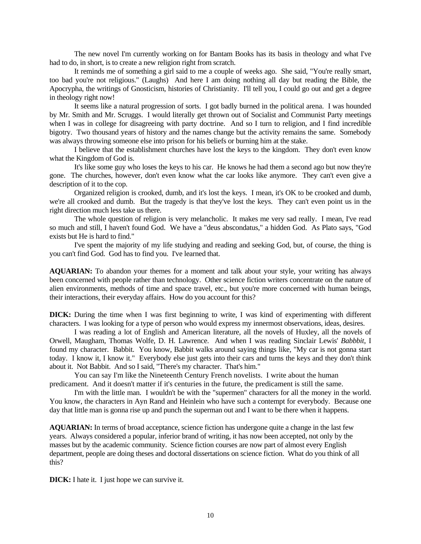The new novel I'm currently working on for Bantam Books has its basis in theology and what I've had to do, in short, is to create a new religion right from scratch.

It reminds me of something a girl said to me a couple of weeks ago. She said, "You're really smart, too bad you're not religious." (Laughs) And here I am doing nothing all day but reading the Bible, the Apocrypha, the writings of Gnosticism, histories of Christianity. I'll tell you, I could go out and get a degree in theology right now!

 It seems like a natural progression of sorts. I got badly burned in the political arena. I was hounded by Mr. Smith and Mr. Scruggs. I would literally get thrown out of Socialist and Communist Party meetings when I was in college for disagreeing with party doctrine. And so I turn to religion, and I find incredible bigotry. Two thousand years of history and the names change but the activity remains the same. Somebody was always throwing someone else into prison for his beliefs or burning him at the stake.

 I believe that the establishment churches have lost the keys to the kingdom. They don't even know what the Kingdom of God is.

 It's like some guy who loses the keys to his car. He knows he had them a second ago but now they're gone. The churches, however, don't even know what the car looks like anymore. They can't even give a description of it to the cop.

 Organized religion is crooked, dumb, and it's lost the keys. I mean, it's OK to be crooked and dumb, we're all crooked and dumb. But the tragedy is that they've lost the keys. They can't even point us in the right direction much less take us there.

 The whole question of religion is very melancholic. It makes me very sad really. I mean, I've read so much and still, I haven't found God. We have a "deus abscondatus," a hidden God. As Plato says, "God exists but He is hard to find."

 I've spent the majority of my life studying and reading and seeking God, but, of course, the thing is you can't find God. God has to find you. I've learned that.

**AQUARIAN:** To abandon your themes for a moment and talk about your style, your writing has always been concerned with people rather than technology. Other science fiction writers concentrate on the nature of alien environments, methods of time and space travel, etc., but you're more concerned with human beings, their interactions, their everyday affairs. How do you account for this?

**DICK:** During the time when I was first beginning to write, I was kind of experimenting with different characters. I was looking for a type of person who would express my innermost observations, ideas, desires.

 I was reading a lot of English and American literature, all the novels of Huxley, all the novels of Orwell, Maugham, Thomas Wolfe, D. H. Lawrence. And when I was reading Sinclair Lewis' *Babbbit*, I found my character. Babbit. You know, Babbit walks around saying things like, "My car is not gonna start today. I know it, I know it." Everybody else just gets into their cars and turns the keys and they don't think about it. Not Babbit. And so I said, "There's my character. That's him."

 You can say I'm like the Nineteenth Century French novelists. I write about the human predicament. And it doesn't matter if it's centuries in the future, the predicament is still the same.

 I'm with the little man. I wouldn't be with the "supermen" characters for all the money in the world. You know, the characters in Ayn Rand and Heinlein who have such a contempt for everybody. Because one day that little man is gonna rise up and punch the superman out and I want to be there when it happens.

**AQUARIAN:** In terms of broad acceptance, science fiction has undergone quite a change in the last few years. Always considered a popular, inferior brand of writing, it has now been accepted, not only by the masses but by the academic community. Science fiction courses are now part of almost every English department, people are doing theses and doctoral dissertations on science fiction. What do you think of all this?

**DICK:** I hate it. I just hope we can survive it.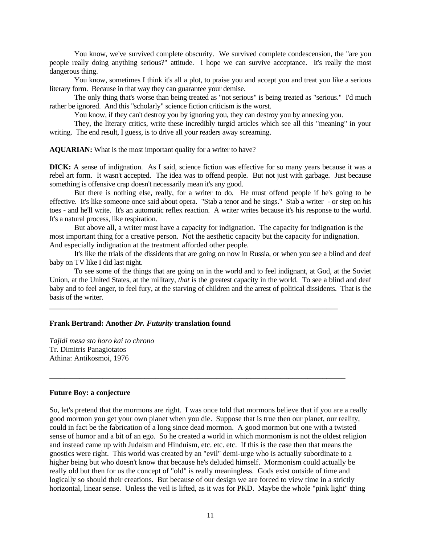You know, we've survived complete obscurity. We survived complete condescension, the "are you people really doing anything serious?" attitude. I hope we can survive acceptance. It's really the most dangerous thing.

 You know, sometimes I think it's all a plot, to praise you and accept you and treat you like a serious literary form. Because in that way they can guarantee your demise.

 The only thing that's worse than being treated as "not serious" is being treated as "serious." I'd much rather be ignored. And this "scholarly" science fiction criticism is the worst.

You know, if they can't destroy you by ignoring you, they can destroy you by annexing you.

 They, the literary critics, write these incredibly turgid articles which see all this "meaning" in your writing. The end result, I guess, is to drive all your readers away screaming.

**AQUARIAN:** What is the most important quality for a writer to have?

**DICK:** A sense of indignation. As I said, science fiction was effective for so many years because it was a rebel art form. It wasn't accepted. The idea was to offend people. But not just with garbage. Just because something is offensive crap doesn't necessarily mean it's any good.

 But there is nothing else, really, for a writer to do. He must offend people if he's going to be effective. It's like someone once said about opera. "Stab a tenor and he sings." Stab a writer - or step on his toes - and he'll write. It's an automatic reflex reaction. A writer writes because it's his response to the world. It's a natural process, like respiration.

 But above all, a writer must have a capacity for indignation. The capacity for indignation is the most important thing for a creative person. Not the aesthetic capacity but the capacity for indignation. And especially indignation at the treatment afforded other people.

 It's like the trials of the dissidents that are going on now in Russia, or when you see a blind and deaf baby on TV like I did last night.

 To see some of the things that are going on in the world and to feel indignant, at God, at the Soviet Union, at the United States, at the military, *that* is the greatest capacity in the world. To see a blind and deaf baby and to feel anger, to feel fury, at the starving of children and the arrest of political dissidents. That is the basis of the writer.

**\_\_\_\_\_\_\_\_\_\_\_\_\_\_\_\_\_\_\_\_\_\_\_\_\_\_\_\_\_\_\_\_\_\_\_\_\_\_\_\_\_\_\_\_\_\_\_\_\_\_\_\_\_\_\_\_\_\_\_\_\_\_\_\_\_\_\_\_\_\_\_\_\_\_\_\_** 

\_\_\_\_\_\_\_\_\_\_\_\_\_\_\_\_\_\_\_\_\_\_\_\_\_\_\_\_\_\_\_\_\_\_\_\_\_\_\_\_\_\_\_\_\_\_\_\_\_\_\_\_\_\_\_\_\_\_\_\_\_\_\_\_\_\_\_\_\_\_\_\_\_\_\_\_\_\_

### **Frank Bertrand: Another** *Dr. Futurity* **translation found**

*Tajidi mesa sto horo kai to chrono*  Tr. Dimitris Panagiotatos Athina: Antikosmoi, 1976

## **Future Boy: a conjecture**

So, let's pretend that the mormons are right. I was once told that mormons believe that if you are a really good mormon you get your own planet when you die. Suppose that is true then our planet, our reality, could in fact be the fabrication of a long since dead mormon. A good mormon but one with a twisted sense of humor and a bit of an ego. So he created a world in which mormonism is not the oldest religion and instead came up with Judaism and Hinduism, etc. etc. etc. If this is the case then that means the gnostics were right. This world was created by an "evil" demi-urge who is actually subordinate to a higher being but who doesn't know that because he's deluded himself. Mormonism could actually be really old but then for us the concept of "old" is really meaningless. Gods exist outside of time and logically so should their creations. But because of our design we are forced to view time in a strictly horizontal, linear sense. Unless the veil is lifted, as it was for PKD. Maybe the whole "pink light" thing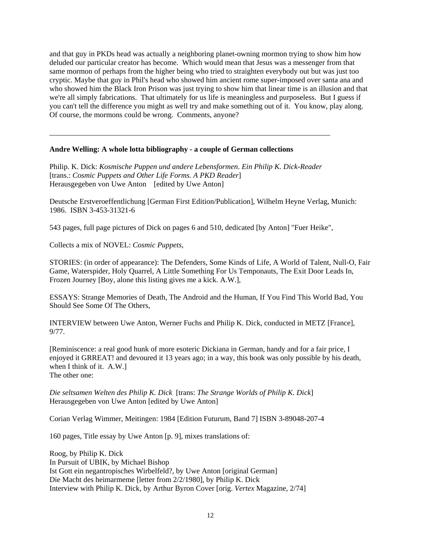and that guy in PKDs head was actually a neighboring planet-owning mormon trying to show him how deluded our particular creator has become. Which would mean that Jesus was a messenger from that same mormon of perhaps from the higher being who tried to straighten everybody out but was just too cryptic. Maybe that guy in Phil's head who showed him ancient rome super-imposed over santa ana and who showed him the Black Iron Prison was just trying to show him that linear time is an illusion and that we're all simply fabrications. That ultimately for us life is meaningless and purposeless. But I guess if you can't tell the difference you might as well try and make something out of it. You know, play along. Of course, the mormons could be wrong. Comments, anyone?

# **Andre Welling: A whole lotta bibliography - a couple of German collections**

Philip. K. Dick: *Kosmische Puppen und andere Lebensformen*. *Ein Philip K. Dick-Reader* [trans.: *Cosmic Puppets and Other Life Forms. A PKD Reader*] Herausgegeben von Uwe Anton [edited by Uwe Anton]

\_\_\_\_\_\_\_\_\_\_\_\_\_\_\_\_\_\_\_\_\_\_\_\_\_\_\_\_\_\_\_\_\_\_\_\_\_\_\_\_\_\_\_\_\_\_\_\_\_\_\_\_\_\_\_\_\_\_\_\_\_\_\_\_\_\_\_\_\_\_\_\_\_\_

Deutsche Erstveroeffentlichung [German First Edition/Publication], Wilhelm Heyne Verlag, Munich: 1986. ISBN 3-453-31321-6

543 pages, full page pictures of Dick on pages 6 and 510, dedicated [by Anton] "Fuer Heike",

Collects a mix of NOVEL: *Cosmic Puppets*,

STORIES: (in order of appearance): The Defenders, Some Kinds of Life, A World of Talent, Null-O, Fair Game, Waterspider, Holy Quarrel, A Little Something For Us Temponauts, The Exit Door Leads In, Frozen Journey [Boy, alone this listing gives me a kick. A.W.],

ESSAYS: Strange Memories of Death, The Android and the Human, If You Find This World Bad, You Should See Some Of The Others,

INTERVIEW between Uwe Anton, Werner Fuchs and Philip K. Dick, conducted in METZ [France], 9/77.

[Reminiscence: a real good hunk of more esoteric Dickiana in German, handy and for a fair price, I enjoyed it GRREAT! and devoured it 13 years ago; in a way, this book was only possible by his death, when I think of it. A.W.] The other one:

*Die seltsamen Welten des Philip K. Dick* [trans: *The Strange Worlds of Philip K. Dick*] Herausgegeben von Uwe Anton [edited by Uwe Anton]

Corian Verlag Wimmer, Meitingen: 1984 [Edition Futurum, Band 7] ISBN 3-89048-207-4

160 pages, Title essay by Uwe Anton [p. 9], mixes translations of:

Roog, by Philip K. Dick In Pursuit of UBIK, by Michael Bishop Ist Gott ein negantropisches Wirbelfeld?, by Uwe Anton [original German] Die Macht des heimarmeme [letter from 2/2/1980], by Philip K. Dick Interview with Philip K. Dick, by Arthur Byron Cover [orig. *Vertex* Magazine, 2/74]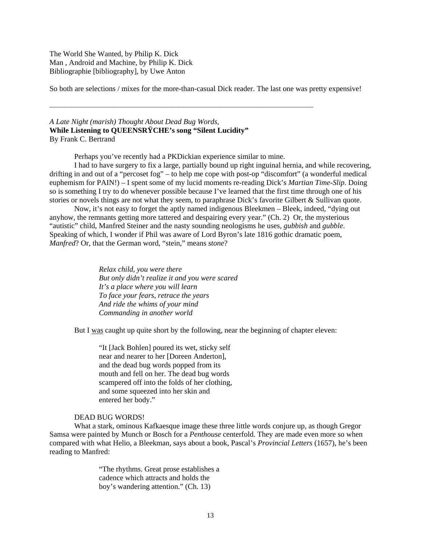The World She Wanted, by Philip K. Dick Man , Android and Machine, by Philip K. Dick Bibliographie [bibliography], by Uwe Anton

So both are selections / mixes for the more-than-casual Dick reader. The last one was pretty expensive!

## *A Late Night (marish) Thought About Dead Bug Words,*  **While Listening to QUEENSRŸCHE's song "Silent Lucidity"**  By Frank C. Bertrand

Perhaps you've recently had a PKDickian experience similar to mine.

\_\_\_\_\_\_\_\_\_\_\_\_\_\_\_\_\_\_\_\_\_\_\_\_\_\_\_\_\_\_\_\_\_\_\_\_\_\_\_\_\_\_\_\_\_\_\_\_\_\_\_\_\_\_\_\_\_\_\_\_\_\_\_\_

 I had to have surgery to fix a large, partially bound up right inguinal hernia, and while recovering, drifting in and out of a "percoset fog" – to help me cope with post-op "discomfort" (a wonderful medical euphemism for PAIN!) – I spent some of my lucid moments re-reading Dick's *Martian Time-Slip*. Doing so is something I try to do whenever possible because I've learned that the first time through one of his stories or novels things are not what they seem, to paraphrase Dick's favorite Gilbert & Sullivan quote.

 Now, it's not easy to forget the aptly named indigenous Bleekmen – Bleek, indeed, "dying out anyhow, the remnants getting more tattered and despairing every year." (Ch. 2) Or, the mysterious "autistic" child, Manfred Steiner and the nasty sounding neologisms he uses, *gubbish* and *gubble*. Speaking of which, I wonder if Phil was aware of Lord Byron's late 1816 gothic dramatic poem, *Manfred*? Or, that the German word, "stein," means *stone*?

> *Relax child, you were there But only didn't realize it and you were scared It's a place where you will learn To face your fears, retrace the years And ride the whims of your mind Commanding in another world*

But I was caught up quite short by the following, near the beginning of chapter eleven:

 "It [Jack Bohlen] poured its wet, sticky self near and nearer to her [Doreen Anderton], and the dead bug words popped from its mouth and fell on her. The dead bug words scampered off into the folds of her clothing, and some squeezed into her skin and entered her body."

#### DEAD BUG WORDS!

 What a stark, ominous Kafkaesque image these three little words conjure up, as though Gregor Samsa were painted by Munch or Bosch for a *Penthouse* centerfold. They are made even more so when compared with what Helio, a Bleekman, says about a book, Pascal's *Provincial Letters* (1657), he's been reading to Manfred:

> "The rhythms. Great prose establishes a cadence which attracts and holds the boy's wandering attention." (Ch. 13)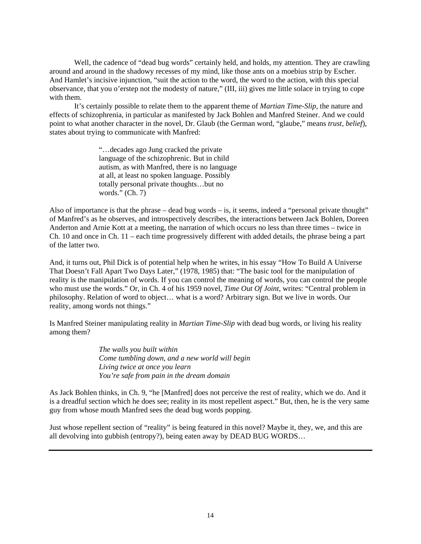Well, the cadence of "dead bug words" certainly held, and holds, my attention. They are crawling around and around in the shadowy recesses of my mind, like those ants on a moebius strip by Escher. And Hamlet's incisive injunction, "suit the action to the word, the word to the action, with this special observance, that you o'erstep not the modesty of nature," (III, iii) gives me little solace in trying to cope with them.

 It's certainly possible to relate them to the apparent theme of *Martian Time-Slip*, the nature and effects of schizophrenia, in particular as manifested by Jack Bohlen and Manfred Steiner. And we could point to what another character in the novel, Dr. Glaub (the German word, "glaube," means *trust*, *belief*), states about trying to communicate with Manfred:

> "…decades ago Jung cracked the private language of the schizophrenic. But in child autism, as with Manfred, there is no language at all, at least no spoken language. Possibly totally personal private thoughts…but no words."  $(Ch. 7)$

Also of importance is that the phrase – dead bug words – is, it seems, indeed a "personal private thought" of Manfred's as he observes, and introspectively describes, the interactions between Jack Bohlen, Doreen Anderton and Arnie Kott at a meeting, the narration of which occurs no less than three times – twice in Ch. 10 and once in Ch. 11 – each time progressively different with added details, the phrase being a part of the latter two.

And, it turns out, Phil Dick is of potential help when he writes, in his essay "How To Build A Universe That Doesn't Fall Apart Two Days Later," (1978, 1985) that: "The basic tool for the manipulation of reality is the manipulation of words. If you can control the meaning of words, you can control the people who must use the words." Or, in Ch. 4 of his 1959 novel, *Time Out Of Joint*, writes: "Central problem in philosophy. Relation of word to object… what is a word? Arbitrary sign. But we live in words. Our reality, among words not things."

Is Manfred Steiner manipulating reality in *Martian Time-Slip* with dead bug words, or living his reality among them?

> *The walls you built within Come tumbling down, and a new world will begin Living twice at once you learn You're safe from pain in the dream domain*

As Jack Bohlen thinks, in Ch. 9, "he [Manfred] does not perceive the rest of reality, which we do. And it is a dreadful section which he does see; reality in its most repellent aspect." But, then, he is the very same guy from whose mouth Manfred sees the dead bug words popping.

Just whose repellent section of "reality" is being featured in this novel? Maybe it, they, we, and this are all devolving into gubbish (entropy?), being eaten away by DEAD BUG WORDS…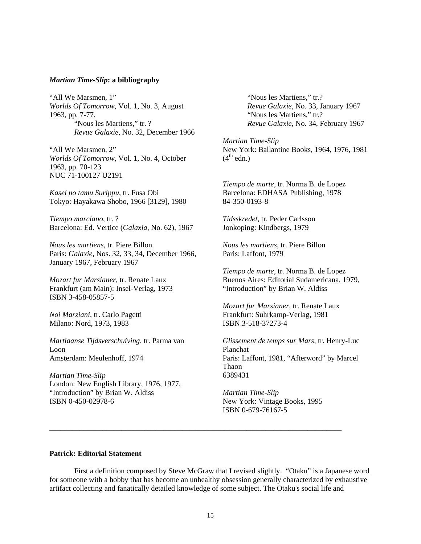#### *Martian Time-Slip***: a bibliography**

"All We Marsmen, 1" *Worlds Of Tomorrow*, Vol. 1, No. 3, August 1963, pp. 7-77. "Nous les Martiens," tr. ? *Revue Galaxie*, No. 32, December 1966

"All We Marsmen, 2" *Worlds Of Tomorrow*, Vol. 1, No. 4, October 1963, pp. 70-123 NUC 71-100127 U2191

*Kasei no tamu Surippu*, tr. Fusa Obi Tokyo: Hayakawa Shobo, 1966 [3129], 1980

*Tiempo marciano*, tr. ? Barcelona: Ed. Vertice (*Galaxia*, No. 62), 1967

*Nous les martiens*, tr. Piere Billon Paris: *Galaxie*, Nos. 32, 33, 34, December 1966, January 1967, February 1967

*Mozart fur Marsianer*, tr. Renate Laux Frankfurt (am Main): Insel-Verlag, 1973 ISBN 3-458-05857-5

*Noi Marziani*, tr. Carlo Pagetti Milano: Nord, 1973, 1983

*Martiaanse Tijdsverschuiving*, tr. Parma van Loon Amsterdam: Meulenhoff, 1974

*Martian Time-Slip*  London: New English Library, 1976, 1977, "Introduction" by Brian W. Aldiss ISBN 0-450-02978-6

 "Nous les Martiens," tr.? *Revue Galaxie*, No. 33, January 1967 "Nous les Martiens," tr.? *Revue Galaxie*, No. 34, February 1967

*Martian Time-Slip*  New York: Ballantine Books, 1964, 1976, 1981  $(4<sup>th</sup>$  edn.)

*Tiempo de marte*, tr. Norma B. de Lopez Barcelona: EDHASA Publishing, 1978 84-350-0193-8

*Tidsskredet*, tr. Peder Carlsson Jonkoping: Kindbergs, 1979

*Nous les martiens*, tr. Piere Billon Paris: Laffont, 1979

*Tiempo de marte*, tr. Norma B. de Lopez Buenos Aires: Editorial Sudamericana, 1979, "Introduction" by Brian W. Aldiss

*Mozart fur Marsianer*, tr. Renate Laux Frankfurt: Suhrkamp-Verlag, 1981 ISBN 3-518-37273-4

*Glissement de temps sur Mars*, tr. Henry-Luc Planchat Paris: Laffont, 1981, "Afterword" by Marcel Thaon 6389431

*Martian Time-Slip*  New York: Vintage Books, 1995 ISBN 0-679-76167-5

# **Patrick: Editorial Statement**

First a definition composed by Steve McGraw that I revised slightly. "Otaku" is a Japanese word for someone with a hobby that has become an unhealthy obsession generally characterized by exhaustive artifact collecting and fanatically detailed knowledge of some subject. The Otaku's social life and

\_\_\_\_\_\_\_\_\_\_\_\_\_\_\_\_\_\_\_\_\_\_\_\_\_\_\_\_\_\_\_\_\_\_\_\_\_\_\_\_\_\_\_\_\_\_\_\_\_\_\_\_\_\_\_\_\_\_\_\_\_\_\_\_\_\_\_\_\_\_\_\_\_\_\_\_\_